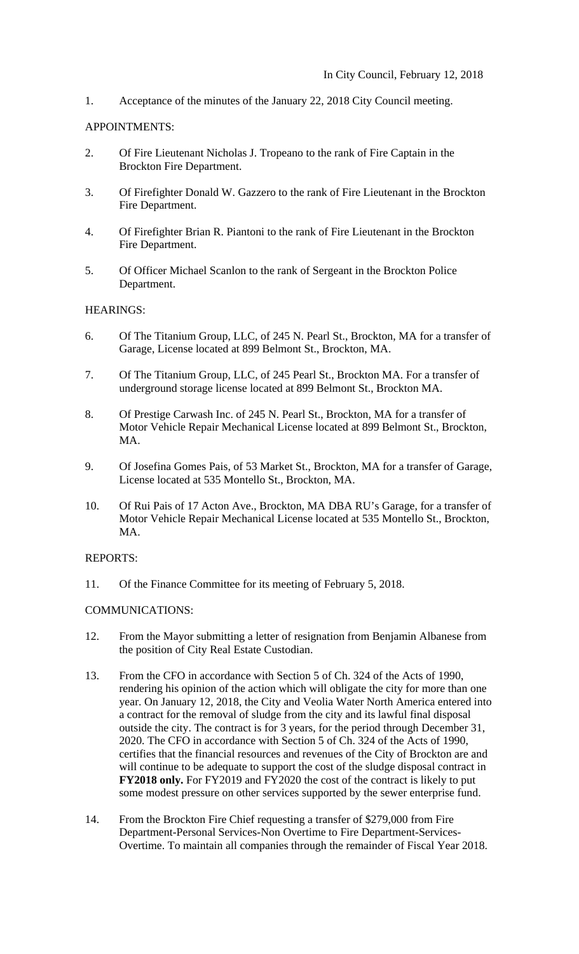1. Acceptance of the minutes of the January 22, 2018 City Council meeting.

# APPOINTMENTS:

- 2. Of Fire Lieutenant Nicholas J. Tropeano to the rank of Fire Captain in the Brockton Fire Department.
- 3. Of Firefighter Donald W. Gazzero to the rank of Fire Lieutenant in the Brockton Fire Department.
- 4. Of Firefighter Brian R. Piantoni to the rank of Fire Lieutenant in the Brockton Fire Department.
- 5. Of Officer Michael Scanlon to the rank of Sergeant in the Brockton Police Department.

# HEARINGS:

- 6. Of The Titanium Group, LLC, of 245 N. Pearl St., Brockton, MA for a transfer of Garage, License located at 899 Belmont St., Brockton, MA.
- 7. Of The Titanium Group, LLC, of 245 Pearl St., Brockton MA. For a transfer of underground storage license located at 899 Belmont St., Brockton MA.
- 8. Of Prestige Carwash Inc. of 245 N. Pearl St., Brockton, MA for a transfer of Motor Vehicle Repair Mechanical License located at 899 Belmont St., Brockton, MA.
- 9. Of Josefina Gomes Pais, of 53 Market St., Brockton, MA for a transfer of Garage, License located at 535 Montello St., Brockton, MA.
- 10. Of Rui Pais of 17 Acton Ave., Brockton, MA DBA RU's Garage, for a transfer of Motor Vehicle Repair Mechanical License located at 535 Montello St., Brockton, MA.

#### REPORTS:

11. Of the Finance Committee for its meeting of February 5, 2018.

#### COMMUNICATIONS:

- 12. From the Mayor submitting a letter of resignation from Benjamin Albanese from the position of City Real Estate Custodian.
- 13. From the CFO in accordance with Section 5 of Ch. 324 of the Acts of 1990, rendering his opinion of the action which will obligate the city for more than one year. On January 12, 2018, the City and Veolia Water North America entered into a contract for the removal of sludge from the city and its lawful final disposal outside the city. The contract is for 3 years, for the period through December 31, 2020. The CFO in accordance with Section 5 of Ch. 324 of the Acts of 1990, certifies that the financial resources and revenues of the City of Brockton are and will continue to be adequate to support the cost of the sludge disposal contract in **FY2018 only.** For FY2019 and FY2020 the cost of the contract is likely to put some modest pressure on other services supported by the sewer enterprise fund.
- 14. From the Brockton Fire Chief requesting a transfer of \$279,000 from Fire Department-Personal Services-Non Overtime to Fire Department-Services- Overtime. To maintain all companies through the remainder of Fiscal Year 2018.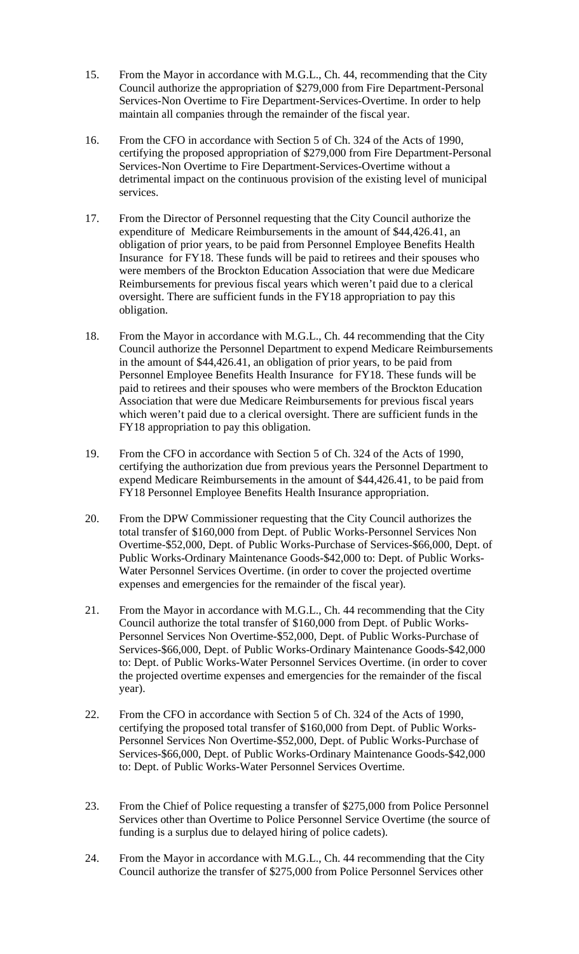- 15. From the Mayor in accordance with M.G.L., Ch. 44, recommending that the City Council authorize the appropriation of \$279,000 from Fire Department-Personal Services-Non Overtime to Fire Department-Services-Overtime. In order to help maintain all companies through the remainder of the fiscal year.
- 16. From the CFO in accordance with Section 5 of Ch. 324 of the Acts of 1990, certifying the proposed appropriation of \$279,000 from Fire Department-Personal Services-Non Overtime to Fire Department-Services-Overtime without a detrimental impact on the continuous provision of the existing level of municipal services.
- 17. From the Director of Personnel requesting that the City Council authorize the expenditure of Medicare Reimbursements in the amount of \$44,426.41, an obligation of prior years, to be paid from Personnel Employee Benefits Health Insurance for FY18. These funds will be paid to retirees and their spouses who were members of the Brockton Education Association that were due Medicare Reimbursements for previous fiscal years which weren't paid due to a clerical oversight. There are sufficient funds in the FY18 appropriation to pay this obligation.
- 18. From the Mayor in accordance with M.G.L., Ch. 44 recommending that the City Council authorize the Personnel Department to expend Medicare Reimbursements in the amount of \$44,426.41, an obligation of prior years, to be paid from Personnel Employee Benefits Health Insurance for FY18. These funds will be paid to retirees and their spouses who were members of the Brockton Education Association that were due Medicare Reimbursements for previous fiscal years which weren't paid due to a clerical oversight. There are sufficient funds in the FY18 appropriation to pay this obligation.
- 19. From the CFO in accordance with Section 5 of Ch. 324 of the Acts of 1990, certifying the authorization due from previous years the Personnel Department to expend Medicare Reimbursements in the amount of \$44,426.41, to be paid from FY18 Personnel Employee Benefits Health Insurance appropriation.
- 20. From the DPW Commissioner requesting that the City Council authorizes the total transfer of \$160,000 from Dept. of Public Works-Personnel Services Non Overtime-\$52,000, Dept. of Public Works-Purchase of Services-\$66,000, Dept. of Public Works-Ordinary Maintenance Goods-\$42,000 to: Dept. of Public Works-Water Personnel Services Overtime. (in order to cover the projected overtime expenses and emergencies for the remainder of the fiscal year).
- 21. From the Mayor in accordance with M.G.L., Ch. 44 recommending that the City Council authorize the total transfer of \$160,000 from Dept. of Public Works-Personnel Services Non Overtime-\$52,000, Dept. of Public Works-Purchase of Services-\$66,000, Dept. of Public Works-Ordinary Maintenance Goods-\$42,000 to: Dept. of Public Works-Water Personnel Services Overtime. (in order to cover the projected overtime expenses and emergencies for the remainder of the fiscal year).
- 22. From the CFO in accordance with Section 5 of Ch. 324 of the Acts of 1990, certifying the proposed total transfer of \$160,000 from Dept. of Public Works-Personnel Services Non Overtime-\$52,000, Dept. of Public Works-Purchase of Services-\$66,000, Dept. of Public Works-Ordinary Maintenance Goods-\$42,000 to: Dept. of Public Works-Water Personnel Services Overtime.
- 23. From the Chief of Police requesting a transfer of \$275,000 from Police Personnel Services other than Overtime to Police Personnel Service Overtime (the source of funding is a surplus due to delayed hiring of police cadets).
- 24. From the Mayor in accordance with M.G.L., Ch. 44 recommending that the City Council authorize the transfer of \$275,000 from Police Personnel Services other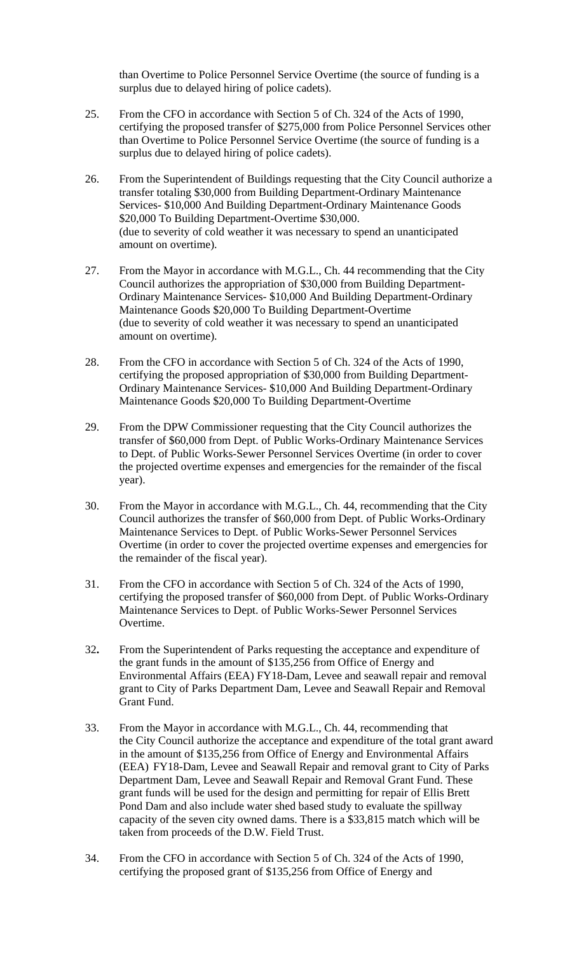than Overtime to Police Personnel Service Overtime (the source of funding is a surplus due to delayed hiring of police cadets).

- 25. From the CFO in accordance with Section 5 of Ch. 324 of the Acts of 1990, certifying the proposed transfer of \$275,000 from Police Personnel Services other than Overtime to Police Personnel Service Overtime (the source of funding is a surplus due to delayed hiring of police cadets).
- 26. From the Superintendent of Buildings requesting that the City Council authorize a transfer totaling \$30,000 from Building Department-Ordinary Maintenance Services- \$10,000 And Building Department-Ordinary Maintenance Goods \$20,000 To Building Department-Overtime \$30,000. (due to severity of cold weather it was necessary to spend an unanticipated amount on overtime).
- 27. From the Mayor in accordance with M.G.L., Ch. 44 recommending that the City Council authorizes the appropriation of \$30,000 from Building Department-Ordinary Maintenance Services- \$10,000 And Building Department-Ordinary Maintenance Goods \$20,000 To Building Department-Overtime (due to severity of cold weather it was necessary to spend an unanticipated amount on overtime).
- 28. From the CFO in accordance with Section 5 of Ch. 324 of the Acts of 1990, certifying the proposed appropriation of \$30,000 from Building Department-Ordinary Maintenance Services- \$10,000 And Building Department-Ordinary Maintenance Goods \$20,000 To Building Department-Overtime
- 29. From the DPW Commissioner requesting that the City Council authorizes the transfer of \$60,000 from Dept. of Public Works-Ordinary Maintenance Services to Dept. of Public Works-Sewer Personnel Services Overtime (in order to cover the projected overtime expenses and emergencies for the remainder of the fiscal year).
- 30. From the Mayor in accordance with M.G.L., Ch. 44, recommending that the City Council authorizes the transfer of \$60,000 from Dept. of Public Works-Ordinary Maintenance Services to Dept. of Public Works-Sewer Personnel Services Overtime (in order to cover the projected overtime expenses and emergencies for the remainder of the fiscal year).
- 31. From the CFO in accordance with Section 5 of Ch. 324 of the Acts of 1990, certifying the proposed transfer of \$60,000 from Dept. of Public Works-Ordinary Maintenance Services to Dept. of Public Works-Sewer Personnel Services Overtime.
- 32**.** From the Superintendent of Parks requesting the acceptance and expenditure of the grant funds in the amount of \$135,256 from Office of Energy and Environmental Affairs (EEA) FY18-Dam, Levee and seawall repair and removal grant to City of Parks Department Dam, Levee and Seawall Repair and Removal Grant Fund.
- 33. From the Mayor in accordance with M.G.L., Ch. 44, recommending that the City Council authorize the acceptance and expenditure of the total grant award in the amount of \$135,256 from Office of Energy and Environmental Affairs (EEA) FY18-Dam, Levee and Seawall Repair and removal grant to City of Parks Department Dam, Levee and Seawall Repair and Removal Grant Fund. These grant funds will be used for the design and permitting for repair of Ellis Brett Pond Dam and also include water shed based study to evaluate the spillway capacity of the seven city owned dams. There is a \$33,815 match which will be taken from proceeds of the D.W. Field Trust.
- 34. From the CFO in accordance with Section 5 of Ch. 324 of the Acts of 1990, certifying the proposed grant of \$135,256 from Office of Energy and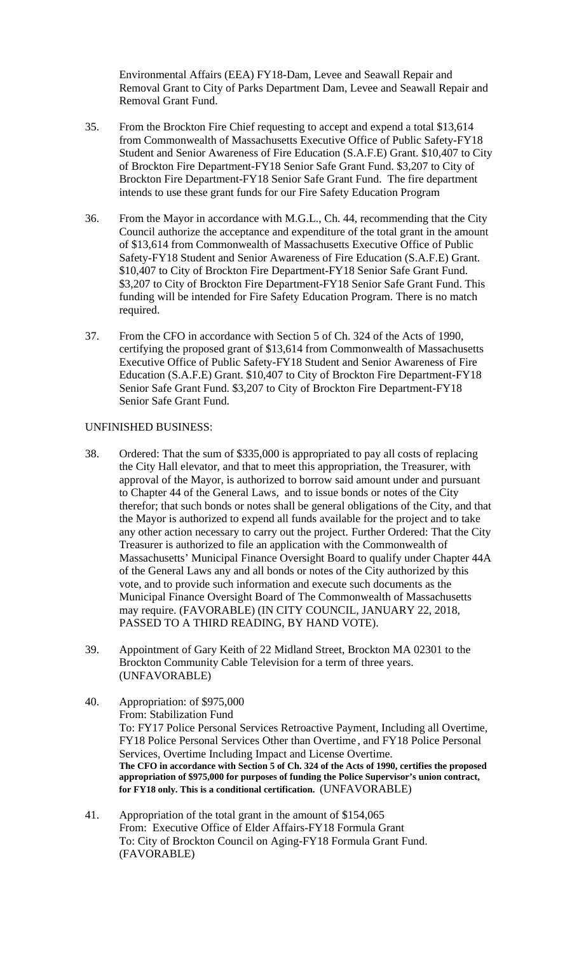Environmental Affairs (EEA) FY18-Dam, Levee and Seawall Repair and Removal Grant to City of Parks Department Dam, Levee and Seawall Repair and Removal Grant Fund.

- 35. From the Brockton Fire Chief requesting to accept and expend a total \$13,614 from Commonwealth of Massachusetts Executive Office of Public Safety-FY18 Student and Senior Awareness of Fire Education (S.A.F.E) Grant. \$10,407 to City of Brockton Fire Department-FY18 Senior Safe Grant Fund. \$3,207 to City of Brockton Fire Department-FY18 Senior Safe Grant Fund. The fire department intends to use these grant funds for our Fire Safety Education Program
- 36. From the Mayor in accordance with M.G.L., Ch. 44, recommending that the City Council authorize the acceptance and expenditure of the total grant in the amount of \$13,614 from Commonwealth of Massachusetts Executive Office of Public Safety-FY18 Student and Senior Awareness of Fire Education (S.A.F.E) Grant. \$10,407 to City of Brockton Fire Department-FY18 Senior Safe Grant Fund. \$3,207 to City of Brockton Fire Department-FY18 Senior Safe Grant Fund. This funding will be intended for Fire Safety Education Program. There is no match required.
- 37. From the CFO in accordance with Section 5 of Ch. 324 of the Acts of 1990, certifying the proposed grant of \$13,614 from Commonwealth of Massachusetts Executive Office of Public Safety-FY18 Student and Senior Awareness of Fire Education (S.A.F.E) Grant. \$10,407 to City of Brockton Fire Department-FY18 Senior Safe Grant Fund. \$3,207 to City of Brockton Fire Department-FY18 Senior Safe Grant Fund.

#### UNFINISHED BUSINESS:

- 38. Ordered: That the sum of \$335,000 is appropriated to pay all costs of replacing the City Hall elevator, and that to meet this appropriation, the Treasurer, with approval of the Mayor, is authorized to borrow said amount under and pursuant to Chapter 44 of the General Laws, and to issue bonds or notes of the City therefor; that such bonds or notes shall be general obligations of the City, and that the Mayor is authorized to expend all funds available for the project and to take any other action necessary to carry out the project. Further Ordered: That the City Treasurer is authorized to file an application with the Commonwealth of Massachusetts' Municipal Finance Oversight Board to qualify under Chapter 44A of the General Laws any and all bonds or notes of the City authorized by this vote, and to provide such information and execute such documents as the Municipal Finance Oversight Board of The Commonwealth of Massachusetts may require. (FAVORABLE) (IN CITY COUNCIL, JANUARY 22, 2018, PASSED TO A THIRD READING, BY HAND VOTE).
- 39. Appointment of Gary Keith of 22 Midland Street, Brockton MA 02301 to the Brockton Community Cable Television for a term of three years. (UNFAVORABLE)
- 40. Appropriation: of \$975,000 From: Stabilization Fund To: FY17 Police Personal Services Retroactive Payment, Including all Overtime, FY18 Police Personal Services Other than Overtime , and FY18 Police Personal Services, Overtime Including Impact and License Overtime. **The CFO in accordance with Section 5 of Ch. 324 of the Acts of 1990, certifies the proposed appropriation of \$975,000 for purposes of funding the Police Supervisor's union contract, for FY18 only. This is a conditional certification.** (UNFAVORABLE)
- 41. Appropriation of the total grant in the amount of \$154,065 From: Executive Office of Elder Affairs-FY18 Formula Grant To: City of Brockton Council on Aging-FY18 Formula Grant Fund. (FAVORABLE)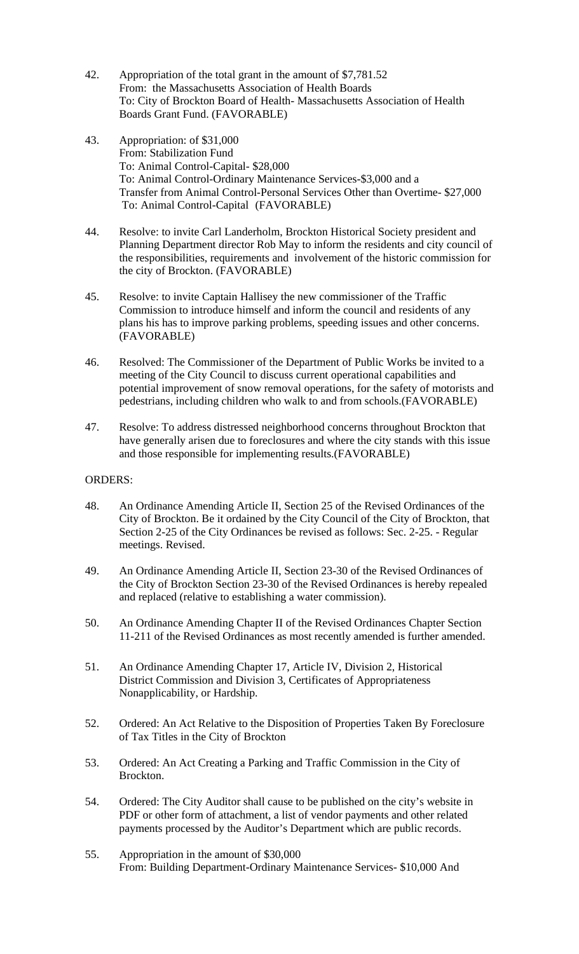- 42. Appropriation of the total grant in the amount of \$7,781.52 From: the Massachusetts Association of Health Boards To: City of Brockton Board of Health- Massachusetts Association of Health Boards Grant Fund. (FAVORABLE)
- 43. Appropriation: of \$31,000 From: Stabilization Fund To: Animal Control-Capital- \$28,000 To: Animal Control-Ordinary Maintenance Services-\$3,000 and a Transfer from Animal Control-Personal Services Other than Overtime- \$27,000 To: Animal Control-Capital (FAVORABLE)
- 44. Resolve: to invite Carl Landerholm, Brockton Historical Society president and Planning Department director Rob May to inform the residents and city council of the responsibilities, requirements and involvement of the historic commission for the city of Brockton. (FAVORABLE)
- 45. Resolve: to invite Captain Hallisey the new commissioner of the Traffic Commission to introduce himself and inform the council and residents of any plans his has to improve parking problems, speeding issues and other concerns. (FAVORABLE)
- 46. Resolved: The Commissioner of the Department of Public Works be invited to a meeting of the City Council to discuss current operational capabilities and potential improvement of snow removal operations, for the safety of motorists and pedestrians, including children who walk to and from schools.(FAVORABLE)
- 47. Resolve: To address distressed neighborhood concerns throughout Brockton that have generally arisen due to foreclosures and where the city stands with this issue and those responsible for implementing results.(FAVORABLE)

### ORDERS:

- 48. An Ordinance Amending Article II, Section 25 of the Revised Ordinances of the City of Brockton. Be it ordained by the City Council of the City of Brockton, that Section 2-25 of the City Ordinances be revised as follows: Sec. 2-25. - Regular meetings. Revised.
- 49. An Ordinance Amending Article II, Section 23-30 of the Revised Ordinances of the City of Brockton Section 23-30 of the Revised Ordinances is hereby repealed and replaced (relative to establishing a water commission).
- 50. An Ordinance Amending Chapter II of the Revised Ordinances Chapter Section 11-211 of the Revised Ordinances as most recently amended is further amended.
- 51. An Ordinance Amending Chapter 17, Article IV, Division 2, Historical District Commission and Division 3, Certificates of Appropriateness Nonapplicability, or Hardship.
- 52. Ordered: An Act Relative to the Disposition of Properties Taken By Foreclosure of Tax Titles in the City of Brockton
- 53. Ordered: An Act Creating a Parking and Traffic Commission in the City of Brockton.
- 54. Ordered: The City Auditor shall cause to be published on the city's website in PDF or other form of attachment, a list of vendor payments and other related payments processed by the Auditor's Department which are public records.
- 55. Appropriation in the amount of \$30,000 From: Building Department-Ordinary Maintenance Services- \$10,000 And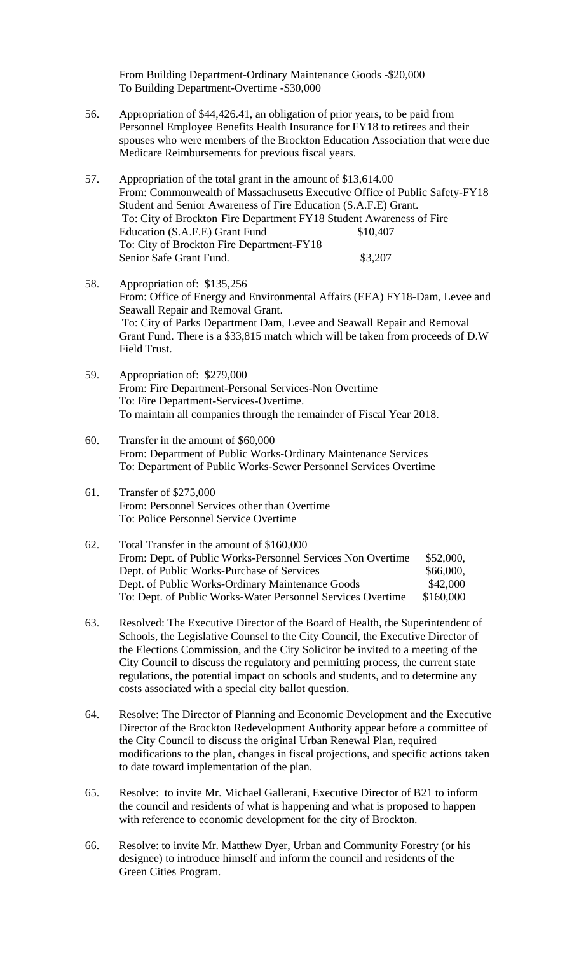From Building Department-Ordinary Maintenance Goods -\$20,000 To Building Department-Overtime -\$30,000

- 56. Appropriation of \$44,426.41, an obligation of prior years, to be paid from Personnel Employee Benefits Health Insurance for FY18 to retirees and their spouses who were members of the Brockton Education Association that were due Medicare Reimbursements for previous fiscal years.
- 57. Appropriation of the total grant in the amount of \$13,614.00 From: Commonwealth of Massachusetts Executive Office of Public Safety-FY18 Student and Senior Awareness of Fire Education (S.A.F.E) Grant. To: City of Brockton Fire Department FY18 Student Awareness of Fire Education (S.A.F.E) Grant Fund \$10,407 To: City of Brockton Fire Department-FY18 Senior Safe Grant Fund. \$3,207
- 58. Appropriation of: \$135,256 From: Office of Energy and Environmental Affairs (EEA) FY18-Dam, Levee and Seawall Repair and Removal Grant. To: City of Parks Department Dam, Levee and Seawall Repair and Removal Grant Fund. There is a \$33,815 match which will be taken from proceeds of D.W Field Trust.
- 59. Appropriation of: \$279,000 From: Fire Department-Personal Services-Non Overtime To: Fire Department-Services-Overtime. To maintain all companies through the remainder of Fiscal Year 2018.
- 60. Transfer in the amount of \$60,000 From: Department of Public Works-Ordinary Maintenance Services To: Department of Public Works-Sewer Personnel Services Overtime
- 61. Transfer of \$275,000 From: Personnel Services other than Overtime To: Police Personnel Service Overtime
- 62. Total Transfer in the amount of \$160,000 From: Dept. of Public Works-Personnel Services Non Overtime \$52,000, Dept. of Public Works-Purchase of Services \$66,000, Dept. of Public Works-Ordinary Maintenance Goods \$42,000 To: Dept. of Public Works-Water Personnel Services Overtime \$160,000
- 63. Resolved: The Executive Director of the Board of Health, the Superintendent of Schools, the Legislative Counsel to the City Council, the Executive Director of the Elections Commission, and the City Solicitor be invited to a meeting of the City Council to discuss the regulatory and permitting process, the current state regulations, the potential impact on schools and students, and to determine any costs associated with a special city ballot question.
- 64. Resolve: The Director of Planning and Economic Development and the Executive Director of the Brockton Redevelopment Authority appear before a committee of the City Council to discuss the original Urban Renewal Plan, required modifications to the plan, changes in fiscal projections, and specific actions taken to date toward implementation of the plan.
- 65. Resolve: to invite Mr. Michael Gallerani, Executive Director of B21 to inform the council and residents of what is happening and what is proposed to happen with reference to economic development for the city of Brockton.
- 66. Resolve: to invite Mr. Matthew Dyer, Urban and Community Forestry (or his designee) to introduce himself and inform the council and residents of the Green Cities Program.